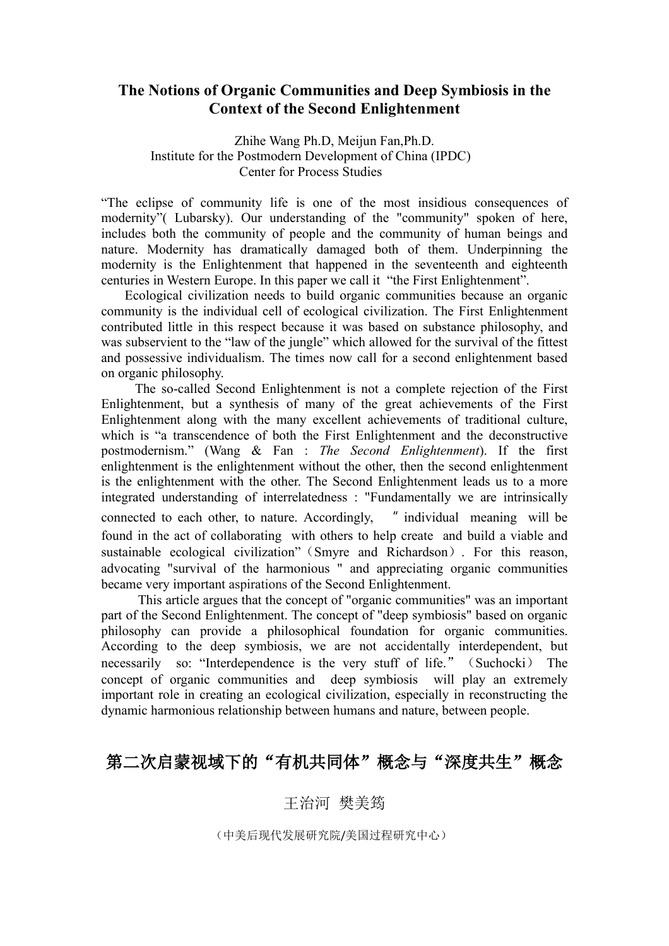## **The Notions of Organic Communities and Deep Symbiosis in the Context of the Second Enlightenment**

Zhihe Wang Ph.D, Meijun Fan,Ph.D. Institute for the Postmodern Development of China (IPDC) Center for Process Studies

"The eclipse of community life is one of the most insidious consequences of modernity"( Lubarsky). Our understanding of the "community" spoken of here, includes both the community of people and the community of human beings and nature. Modernity has dramatically damaged both of them. Underpinning the modernity is the Enlightenment that happened in the seventeenth and eighteenth centuries in Western Europe. In this paper we call it "the First Enlightenment".

Ecological civilization needs to build organic communities because an organic community is the individual cell of ecological civilization. The First Enlightenment contributed little in this respect because it was based on substance philosophy, and was subservient to the "law of the jungle" which allowed for the survival of the fittest and possessive individualism. The times now call for a second enlightenment based on organic philosophy.

The so-called Second Enlightenment is not a complete rejection of the First Enlightenment, but a synthesis of many of the great achievements of the First Enlightenment along with the many excellent achievements of traditional culture, which is "a transcendence of both the First Enlightenment and the deconstructive postmodernism." (Wang & Fan : *The Second Enlightenment*). If the first enlightenment is the enlightenment without the other, then the second enlightenment is the enlightenment with the other. The Second Enlightenment leads us to a more integrated understanding of interrelatedness : "Fundamentally we are intrinsically connected to each other, to nature. Accordingly, " individual meaning will be found in the act of collaborating with others to help create and build a viable and sustainable ecological civilization"(Smyre and Richardson). For this reason, advocating "survival of the harmonious " and appreciating organic communities became very important aspirations of the Second Enlightenment.

This article argues that the concept of "organic communities" was an important part of the Second Enlightenment. The concept of "deep symbiosis" based on organic philosophy can provide a philosophical foundation for organic communities. According to the deep symbiosis, we are not accidentally interdependent, but necessarily so: "Interdependence is the very stuff of life."(Suchocki) The concept of organic communities and deep symbiosis will play an extremely important role in creating an ecological civilization, especially in reconstructing the dynamic harmonious relationship between humans and nature, between people.

## 第二次启蒙视域下的"有机共同体"概念与"深度共生"概念

王治河 樊美筠

(中美后现代发展研究院/美国过程研究中心)